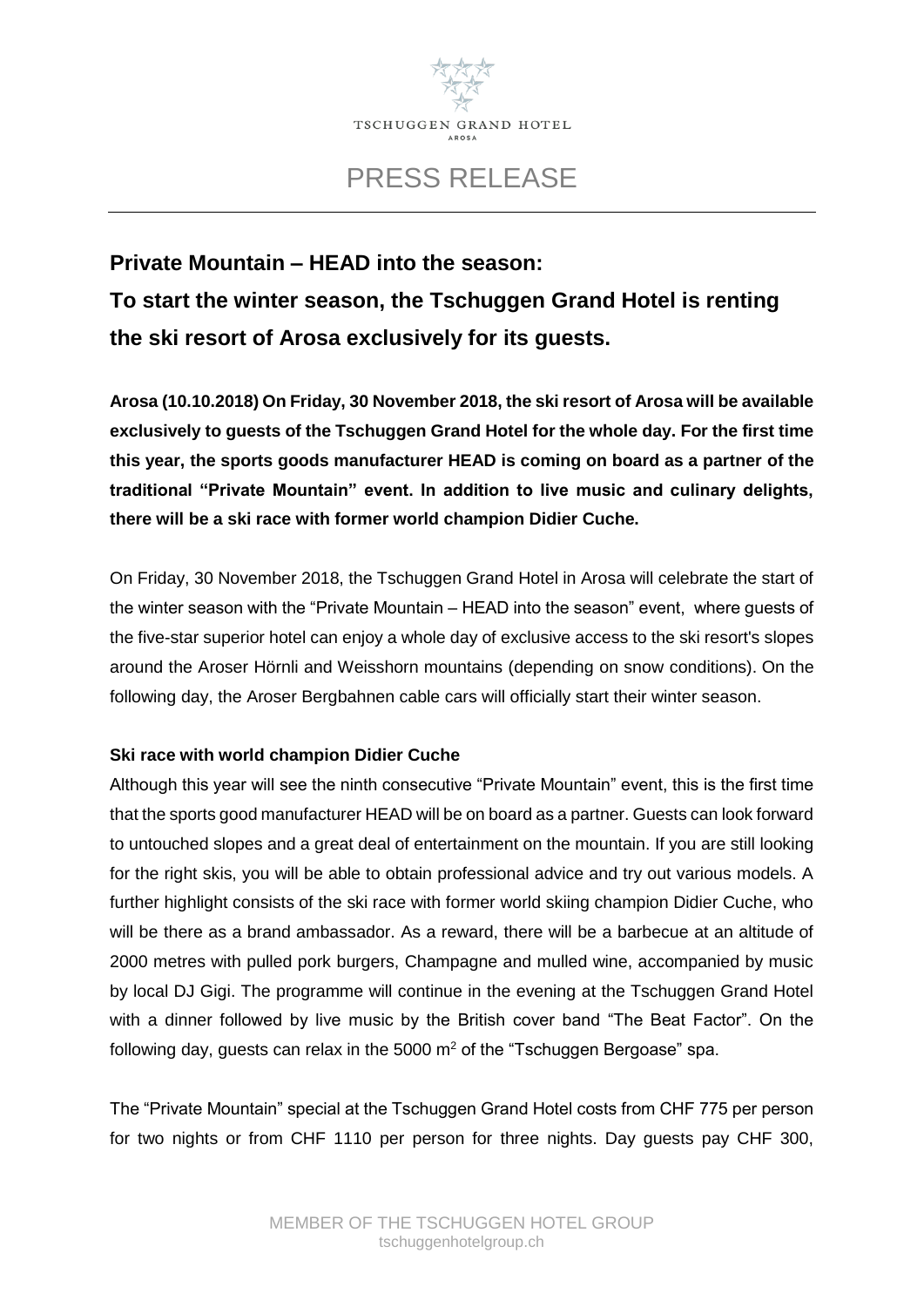

## PRESS RELEASE

# **Private Mountain – HEAD into the season: To start the winter season, the Tschuggen Grand Hotel is renting the ski resort of Arosa exclusively for its guests.**

**Arosa (10.10.2018) On Friday, 30 November 2018, the ski resort of Arosa will be available exclusively to guests of the Tschuggen Grand Hotel for the whole day. For the first time this year, the sports goods manufacturer HEAD is coming on board as a partner of the traditional "Private Mountain" event. In addition to live music and culinary delights, there will be a ski race with former world champion Didier Cuche.**

On Friday, 30 November 2018, the Tschuggen Grand Hotel in Arosa will celebrate the start of the winter season with the "Private Mountain – HEAD into the season" event, where guests of the five-star superior hotel can enjoy a whole day of exclusive access to the ski resort's slopes around the Aroser Hörnli and Weisshorn mountains (depending on snow conditions). On the following day, the Aroser Bergbahnen cable cars will officially start their winter season.

## **Ski race with world champion Didier Cuche**

Although this year will see the ninth consecutive "Private Mountain" event, this is the first time that the sports good manufacturer HEAD will be on board as a partner. Guests can look forward to untouched slopes and a great deal of entertainment on the mountain. If you are still looking for the right skis, you will be able to obtain professional advice and try out various models. A further highlight consists of the ski race with former world skiing champion Didier Cuche, who will be there as a brand ambassador. As a reward, there will be a barbecue at an altitude of 2000 metres with pulled pork burgers, Champagne and mulled wine, accompanied by music by local DJ Gigi. The programme will continue in the evening at the Tschuggen Grand Hotel with a dinner followed by live music by the British cover band "The Beat Factor". On the following day, quests can relax in the 5000  $m<sup>2</sup>$  of the "Tschuggen Bergoase" spa.

The "Private Mountain" special at the Tschuggen Grand Hotel costs from CHF 775 per person for two nights or from CHF 1110 per person for three nights. Day guests pay CHF 300,